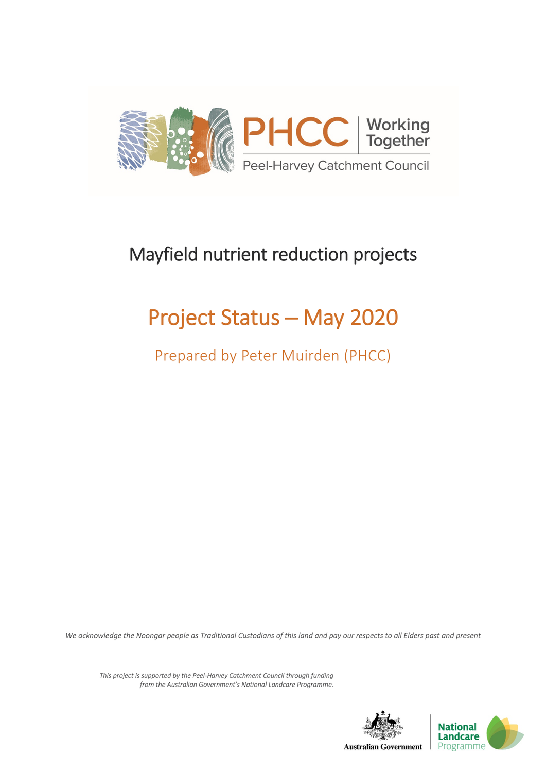

## Mayfield nutrient reduction projects

## Project Status ─ May 2020

Prepared by Peter Muirden (PHCC)

*We acknowledge the Noongar people as Traditional Custodians of this land and pay our respects to all Elders past and present*

*This project is supported by the Peel-Harvey Catchment Council through funding from the Australian Government's National Landcare Programme.*

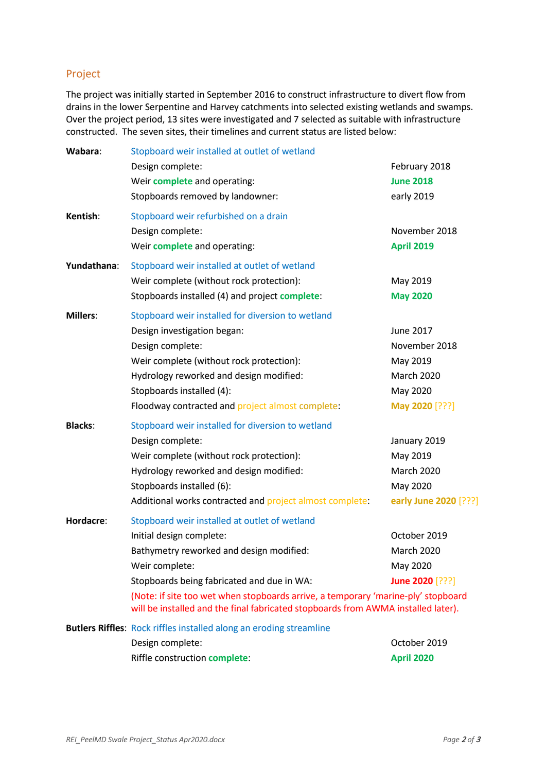## Project

The project was initially started in September 2016 to construct infrastructure to divert flow from drains in the lower Serpentine and Harvey catchments into selected existing wetlands and swamps. Over the project period, 13 sites were investigated and 7 selected as suitable with infrastructure constructed. The seven sites, their timelines and current status are listed below:

| Wabara:         | Stopboard weir installed at outlet of wetland                                                                                                                          |                       |
|-----------------|------------------------------------------------------------------------------------------------------------------------------------------------------------------------|-----------------------|
|                 | Design complete:                                                                                                                                                       | February 2018         |
|                 | Weir complete and operating:                                                                                                                                           | <b>June 2018</b>      |
|                 | Stopboards removed by landowner:                                                                                                                                       | early 2019            |
| Kentish:        | Stopboard weir refurbished on a drain                                                                                                                                  |                       |
|                 | Design complete:                                                                                                                                                       | November 2018         |
|                 | Weir complete and operating:                                                                                                                                           | <b>April 2019</b>     |
| Yundathana:     | Stopboard weir installed at outlet of wetland                                                                                                                          |                       |
|                 | Weir complete (without rock protection):                                                                                                                               | May 2019              |
|                 | Stopboards installed (4) and project complete:                                                                                                                         | <b>May 2020</b>       |
| <b>Millers:</b> | Stopboard weir installed for diversion to wetland                                                                                                                      |                       |
|                 | Design investigation began:                                                                                                                                            | June 2017             |
|                 | Design complete:                                                                                                                                                       | November 2018         |
|                 | Weir complete (without rock protection):                                                                                                                               | May 2019              |
|                 | Hydrology reworked and design modified:                                                                                                                                | <b>March 2020</b>     |
|                 | Stopboards installed (4):                                                                                                                                              | May 2020              |
|                 | Floodway contracted and project almost complete:                                                                                                                       | May 2020 [???]        |
| <b>Blacks:</b>  | Stopboard weir installed for diversion to wetland                                                                                                                      |                       |
|                 | Design complete:                                                                                                                                                       | January 2019          |
|                 | Weir complete (without rock protection):                                                                                                                               | May 2019              |
|                 | Hydrology reworked and design modified:                                                                                                                                | <b>March 2020</b>     |
|                 | Stopboards installed (6):                                                                                                                                              | May 2020              |
|                 | Additional works contracted and project almost complete:                                                                                                               | early June 2020 [???] |
| Hordacre:       | Stopboard weir installed at outlet of wetland                                                                                                                          |                       |
|                 | Initial design complete:                                                                                                                                               | October 2019          |
|                 | Bathymetry reworked and design modified:                                                                                                                               | <b>March 2020</b>     |
|                 | Weir complete:                                                                                                                                                         | May 2020              |
|                 | Stopboards being fabricated and due in WA:                                                                                                                             | June 2020 [???]       |
|                 | (Note: if site too wet when stopboards arrive, a temporary 'marine-ply' stopboard<br>will be installed and the final fabricated stopboards from AWMA installed later). |                       |
|                 | <b>Butlers Riffles: Rock riffles installed along an eroding streamline</b>                                                                                             |                       |
|                 | Design complete:                                                                                                                                                       | October 2019          |
|                 | Riffle construction complete:                                                                                                                                          | <b>April 2020</b>     |